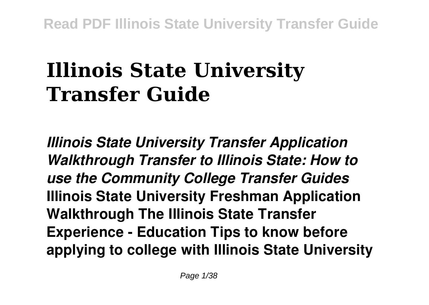# **Illinois State University Transfer Guide**

*Illinois State University Transfer Application Walkthrough Transfer to Illinois State: How to use the Community College Transfer Guides* **Illinois State University Freshman Application Walkthrough The Illinois State Transfer Experience - Education Tips to know before applying to college with Illinois State University**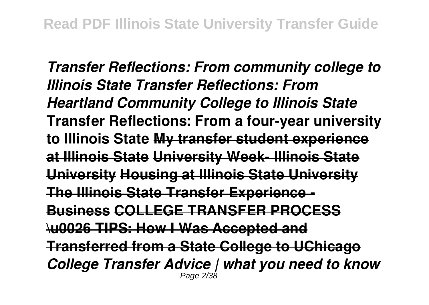*Transfer Reflections: From community college to Illinois State Transfer Reflections: From Heartland Community College to Illinois State* **Transfer Reflections: From a four-year university to Illinois State My transfer student experience at Illinois State University Week- Illinois State University Housing at Illinois State University The Illinois State Transfer Experience - Business COLLEGE TRANSFER PROCESS \u0026 TIPS: How I Was Accepted and Transferred from a State College to UChicago** *College Transfer Advice | what you need to know* Page 2/38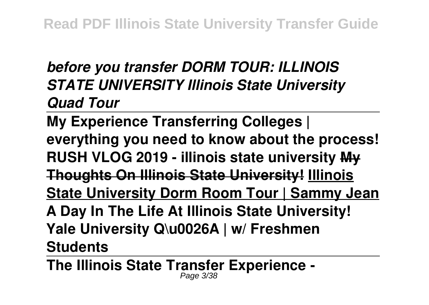## *before you transfer DORM TOUR: ILLINOIS STATE UNIVERSITY Illinois State University Quad Tour*

**My Experience Transferring Colleges | everything you need to know about the process! RUSH VLOG 2019 - illinois state university My Thoughts On Illinois State University! Illinois State University Dorm Room Tour | Sammy Jean A Day In The Life At Illinois State University! Yale University Q\u0026A | w/ Freshmen Students** 

**The Illinois State Transfer Experience -** Page 3/38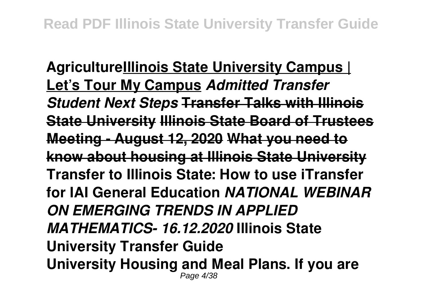**AgricultureIllinois State University Campus | Let's Tour My Campus** *Admitted Transfer Student Next Steps* **Transfer Talks with Illinois State University Illinois State Board of Trustees Meeting - August 12, 2020 What you need to know about housing at Illinois State University Transfer to Illinois State: How to use iTransfer for IAI General Education** *NATIONAL WEBINAR ON EMERGING TRENDS IN APPLIED MATHEMATICS- 16.12.2020* **Illinois State University Transfer Guide University Housing and Meal Plans. If you are** Page 4/38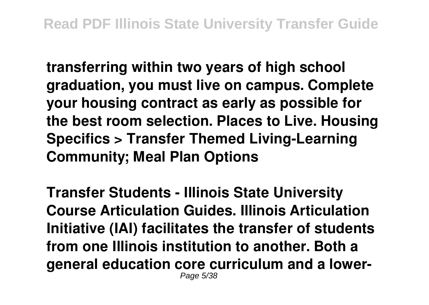**transferring within two years of high school graduation, you must live on campus. Complete your housing contract as early as possible for the best room selection. Places to Live. Housing Specifics > Transfer Themed Living-Learning Community; Meal Plan Options**

**Transfer Students - Illinois State University Course Articulation Guides. Illinois Articulation Initiative (IAI) facilitates the transfer of students from one Illinois institution to another. Both a general education core curriculum and a lower-**Page 5/38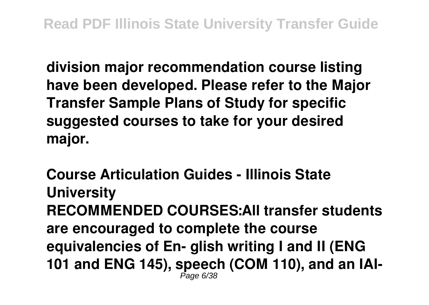**division major recommendation course listing have been developed. Please refer to the Major Transfer Sample Plans of Study for specific suggested courses to take for your desired major.**

**Course Articulation Guides - Illinois State University RECOMMENDED COURSES:All transfer students are encouraged to complete the course equivalencies of En- glish writing I and II (ENG 101 and ENG 145), speech (COM 110), and an IAI-**Page 6/38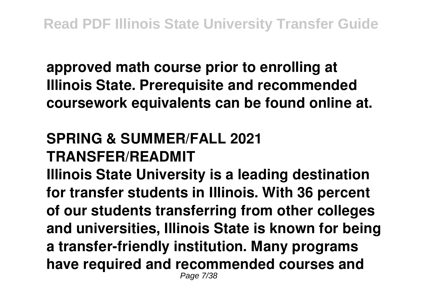**approved math course prior to enrolling at Illinois State. Prerequisite and recommended coursework equivalents can be found online at.**

## **SPRING & SUMMER/FALL 2021 TRANSFER/READMIT**

**Illinois State University is a leading destination for transfer students in Illinois. With 36 percent of our students transferring from other colleges and universities, Illinois State is known for being a transfer-friendly institution. Many programs have required and recommended courses and** Page 7/38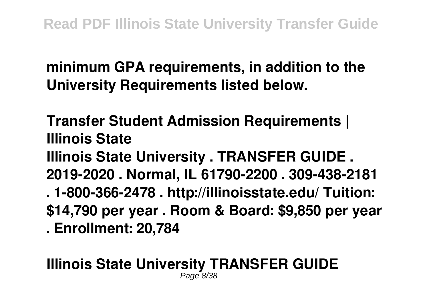**minimum GPA requirements, in addition to the University Requirements listed below.**

**Transfer Student Admission Requirements | Illinois State Illinois State University . TRANSFER GUIDE . 2019-2020 . Normal, IL 61790-2200 . 309-438-2181 . 1-800-366-2478 . http://illinoisstate.edu/ Tuition: \$14,790 per year . Room & Board: \$9,850 per year . Enrollment: 20,784**

#### **Illinois State University TRANSFER GUIDE** Page 8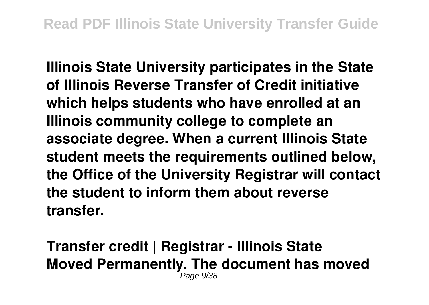**Illinois State University participates in the State of Illinois Reverse Transfer of Credit initiative which helps students who have enrolled at an Illinois community college to complete an associate degree. When a current Illinois State student meets the requirements outlined below, the Office of the University Registrar will contact the student to inform them about reverse transfer.**

**Transfer credit | Registrar - Illinois State Moved Permanently. The document has moved** Page 9/38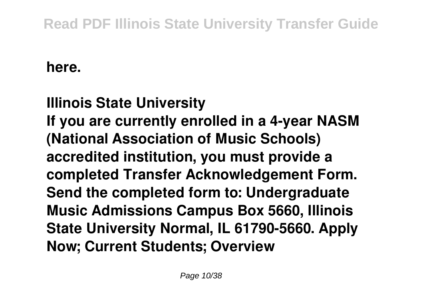#### **here.**

**Illinois State University If you are currently enrolled in a 4-year NASM (National Association of Music Schools) accredited institution, you must provide a completed Transfer Acknowledgement Form. Send the completed form to: Undergraduate Music Admissions Campus Box 5660, Illinois State University Normal, IL 61790-5660. Apply Now; Current Students; Overview**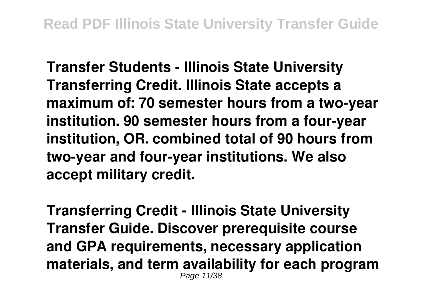**Transfer Students - Illinois State University Transferring Credit. Illinois State accepts a maximum of: 70 semester hours from a two-year institution. 90 semester hours from a four-year institution, OR. combined total of 90 hours from two-year and four-year institutions. We also accept military credit.**

**Transferring Credit - Illinois State University Transfer Guide. Discover prerequisite course and GPA requirements, necessary application materials, and term availability for each program** Page 11/38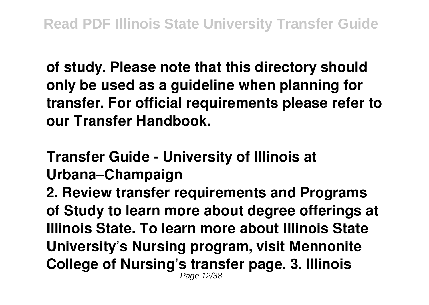**of study. Please note that this directory should only be used as a guideline when planning for transfer. For official requirements please refer to our Transfer Handbook.**

**Transfer Guide - University of Illinois at Urbana–Champaign**

**2. Review transfer requirements and Programs of Study to learn more about degree offerings at Illinois State. To learn more about Illinois State University's Nursing program, visit Mennonite College of Nursing's transfer page. 3. Illinois** Page 12/38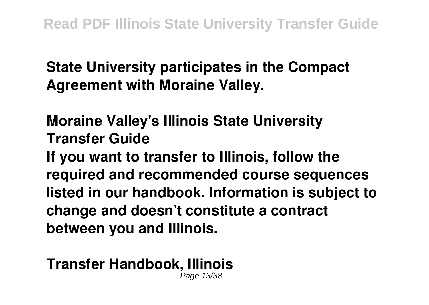#### **State University participates in the Compact Agreement with Moraine Valley.**

#### **Moraine Valley's Illinois State University Transfer Guide**

**If you want to transfer to Illinois, follow the required and recommended course sequences listed in our handbook. Information is subject to change and doesn't constitute a contract between you and Illinois.**

#### **Transfer Handbook, Illinois** Page 13/38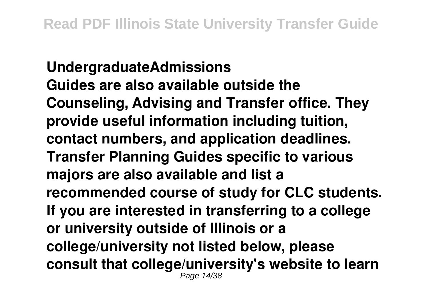**UndergraduateAdmissions Guides are also available outside the Counseling, Advising and Transfer office. They provide useful information including tuition, contact numbers, and application deadlines. Transfer Planning Guides specific to various majors are also available and list a recommended course of study for CLC students. If you are interested in transferring to a college or university outside of Illinois or a college/university not listed below, please consult that college/university's website to learn** Page 14/38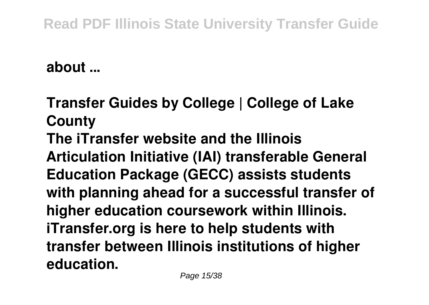#### **about ...**

**Transfer Guides by College | College of Lake County The iTransfer website and the Illinois Articulation Initiative (IAI) transferable General Education Package (GECC) assists students with planning ahead for a successful transfer of higher education coursework within Illinois. iTransfer.org is here to help students with transfer between Illinois institutions of higher education.**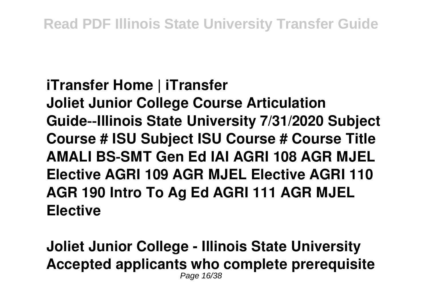#### **iTransfer Home | iTransfer**

**Joliet Junior College Course Articulation Guide‐‐Illinois State University 7/31/2020 Subject Course # ISU Subject ISU Course # Course Title AMALI BS‐SMT Gen Ed IAI AGRI 108 AGR MJEL Elective AGRI 109 AGR MJEL Elective AGRI 110 AGR 190 Intro To Ag Ed AGRI 111 AGR MJEL Elective**

**Joliet Junior College - Illinois State University Accepted applicants who complete prerequisite** Page 16/38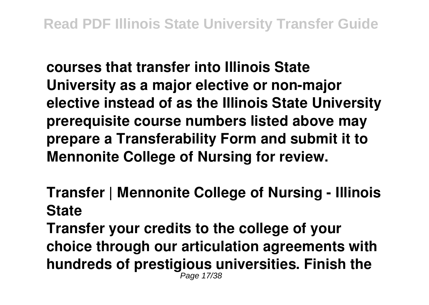**courses that transfer into Illinois State University as a major elective or non-major elective instead of as the Illinois State University prerequisite course numbers listed above may prepare a Transferability Form and submit it to Mennonite College of Nursing for review.**

**Transfer | Mennonite College of Nursing - Illinois State**

**Transfer your credits to the college of your choice through our articulation agreements with hundreds of prestigious universities. Finish the** Page 17/38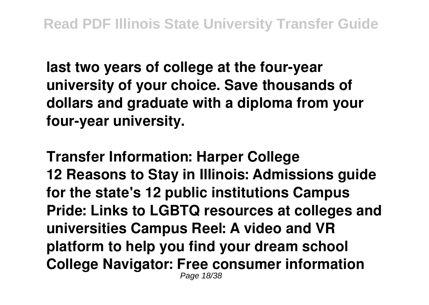**last two years of college at the four-year university of your choice. Save thousands of dollars and graduate with a diploma from your four-year university.**

**Transfer Information: Harper College 12 Reasons to Stay in Illinois: Admissions guide for the state's 12 public institutions Campus Pride: Links to LGBTQ resources at colleges and universities Campus Reel: A video and VR platform to help you find your dream school College Navigator: Free consumer information** Page 18/38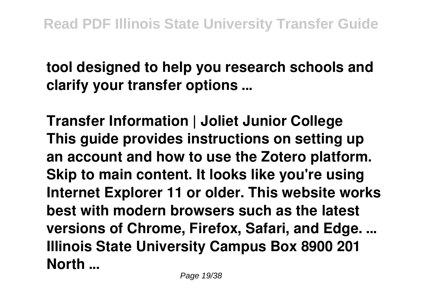### **tool designed to help you research schools and clarify your transfer options ...**

**Transfer Information | Joliet Junior College This guide provides instructions on setting up an account and how to use the Zotero platform. Skip to main content. It looks like you're using Internet Explorer 11 or older. This website works best with modern browsers such as the latest versions of Chrome, Firefox, Safari, and Edge. ... Illinois State University Campus Box 8900 201 North ...**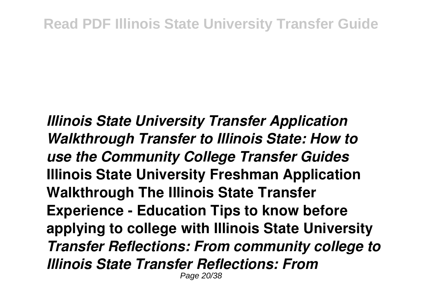*Illinois State University Transfer Application Walkthrough Transfer to Illinois State: How to use the Community College Transfer Guides* **Illinois State University Freshman Application Walkthrough The Illinois State Transfer Experience - Education Tips to know before applying to college with Illinois State University** *Transfer Reflections: From community college to Illinois State Transfer Reflections: From* Page 20/38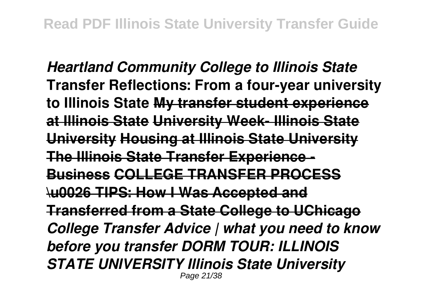*Heartland Community College to Illinois State* **Transfer Reflections: From a four-year university to Illinois State My transfer student experience at Illinois State University Week- Illinois State University Housing at Illinois State University The Illinois State Transfer Experience - Business COLLEGE TRANSFER PROCESS \u0026 TIPS: How I Was Accepted and Transferred from a State College to UChicago** *College Transfer Advice | what you need to know before you transfer DORM TOUR: ILLINOIS STATE UNIVERSITY Illinois State University* Page 21/38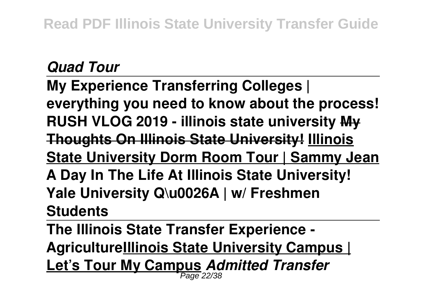#### *Quad Tour*

**My Experience Transferring Colleges | everything you need to know about the process! RUSH VLOG 2019 - illinois state university My Thoughts On Illinois State University! Illinois State University Dorm Room Tour | Sammy Jean A Day In The Life At Illinois State University! Yale University Q\u0026A | w/ Freshmen Students** 

**The Illinois State Transfer Experience - AgricultureIllinois State University Campus | Let's Tour My Campus** *Admitted Transfer* Page 22/38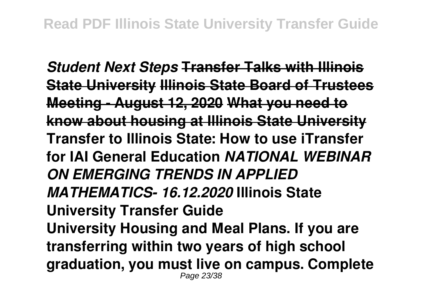*Student Next Steps* **Transfer Talks with Illinois State University Illinois State Board of Trustees Meeting - August 12, 2020 What you need to know about housing at Illinois State University Transfer to Illinois State: How to use iTransfer for IAI General Education** *NATIONAL WEBINAR ON EMERGING TRENDS IN APPLIED MATHEMATICS- 16.12.2020* **Illinois State University Transfer Guide University Housing and Meal Plans. If you are transferring within two years of high school graduation, you must live on campus. Complete** Page 23/38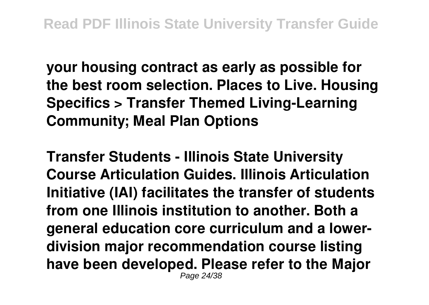**your housing contract as early as possible for the best room selection. Places to Live. Housing Specifics > Transfer Themed Living-Learning Community; Meal Plan Options**

**Transfer Students - Illinois State University Course Articulation Guides. Illinois Articulation Initiative (IAI) facilitates the transfer of students from one Illinois institution to another. Both a general education core curriculum and a lowerdivision major recommendation course listing have been developed. Please refer to the Major** Page 24/38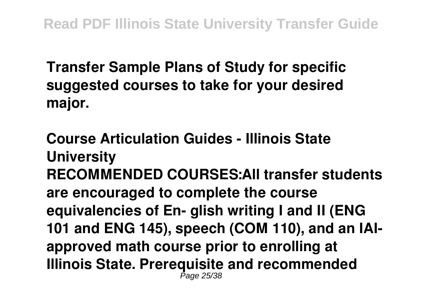**Transfer Sample Plans of Study for specific suggested courses to take for your desired major.**

**Course Articulation Guides - Illinois State University RECOMMENDED COURSES:All transfer students are encouraged to complete the course equivalencies of En- glish writing I and II (ENG 101 and ENG 145), speech (COM 110), and an IAIapproved math course prior to enrolling at Illinois State. Prerequisite and recommended** Page 25/38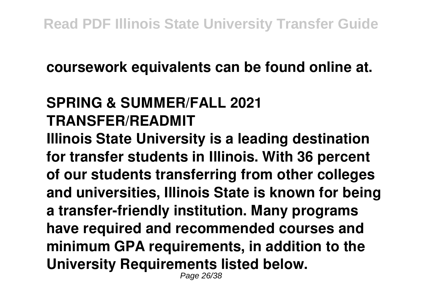#### **coursework equivalents can be found online at.**

### **SPRING & SUMMER/FALL 2021 TRANSFER/READMIT**

**Illinois State University is a leading destination for transfer students in Illinois. With 36 percent of our students transferring from other colleges and universities, Illinois State is known for being a transfer-friendly institution. Many programs have required and recommended courses and minimum GPA requirements, in addition to the University Requirements listed below.**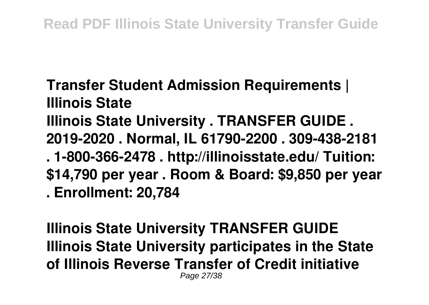**Transfer Student Admission Requirements | Illinois State**

**Illinois State University . TRANSFER GUIDE . 2019-2020 . Normal, IL 61790-2200 . 309-438-2181 . 1-800-366-2478 . http://illinoisstate.edu/ Tuition: \$14,790 per year . Room & Board: \$9,850 per year**

**. Enrollment: 20,784**

**Illinois State University TRANSFER GUIDE Illinois State University participates in the State of Illinois Reverse Transfer of Credit initiative** Page 27/38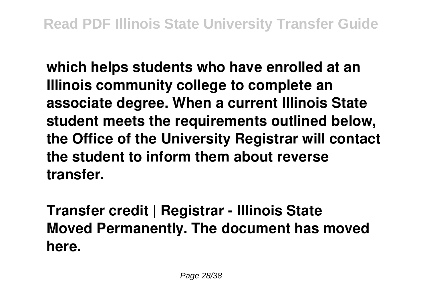**which helps students who have enrolled at an Illinois community college to complete an associate degree. When a current Illinois State student meets the requirements outlined below, the Office of the University Registrar will contact the student to inform them about reverse transfer.**

**Transfer credit | Registrar - Illinois State Moved Permanently. The document has moved here.**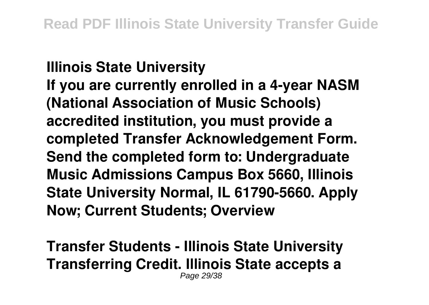### **Illinois State University If you are currently enrolled in a 4-year NASM (National Association of Music Schools) accredited institution, you must provide a completed Transfer Acknowledgement Form. Send the completed form to: Undergraduate Music Admissions Campus Box 5660, Illinois State University Normal, IL 61790-5660. Apply Now; Current Students; Overview**

**Transfer Students - Illinois State University Transferring Credit. Illinois State accepts a** Page 29/38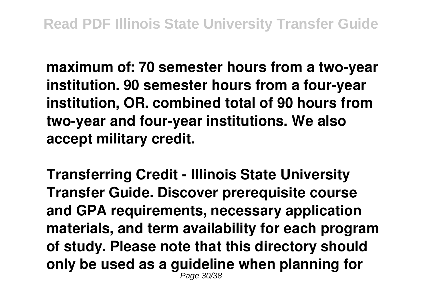**maximum of: 70 semester hours from a two-year institution. 90 semester hours from a four-year institution, OR. combined total of 90 hours from two-year and four-year institutions. We also accept military credit.**

**Transferring Credit - Illinois State University Transfer Guide. Discover prerequisite course and GPA requirements, necessary application materials, and term availability for each program of study. Please note that this directory should only be used as a guideline when planning for** Page 30/38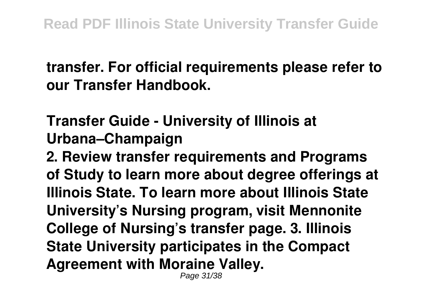#### **transfer. For official requirements please refer to our Transfer Handbook.**

### **Transfer Guide - University of Illinois at Urbana–Champaign**

**2. Review transfer requirements and Programs of Study to learn more about degree offerings at Illinois State. To learn more about Illinois State University's Nursing program, visit Mennonite College of Nursing's transfer page. 3. Illinois State University participates in the Compact Agreement with Moraine Valley.**

Page 31/38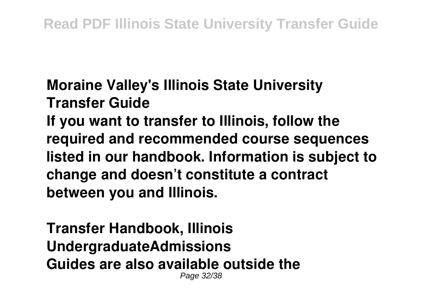# **Moraine Valley's Illinois State University Transfer Guide If you want to transfer to Illinois, follow the required and recommended course sequences listed in our handbook. Information is subject to change and doesn't constitute a contract between you and Illinois.**

**Transfer Handbook, Illinois UndergraduateAdmissions Guides are also available outside the** Page 32/38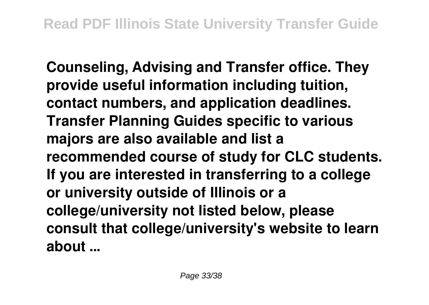**Counseling, Advising and Transfer office. They provide useful information including tuition, contact numbers, and application deadlines. Transfer Planning Guides specific to various majors are also available and list a recommended course of study for CLC students. If you are interested in transferring to a college or university outside of Illinois or a college/university not listed below, please consult that college/university's website to learn about ...**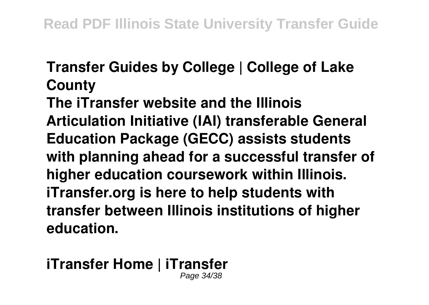#### **Transfer Guides by College | College of Lake County**

**The iTransfer website and the Illinois Articulation Initiative (IAI) transferable General Education Package (GECC) assists students with planning ahead for a successful transfer of higher education coursework within Illinois. iTransfer.org is here to help students with transfer between Illinois institutions of higher education.**

#### **iTransfer Home | iTransfer** Page 34/38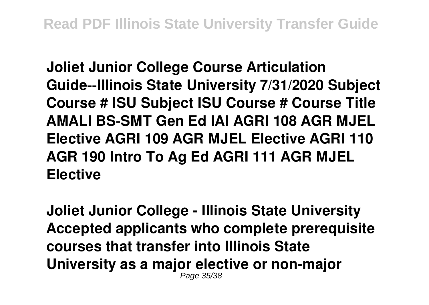**Joliet Junior College Course Articulation Guide‐‐Illinois State University 7/31/2020 Subject Course # ISU Subject ISU Course # Course Title AMALI BS‐SMT Gen Ed IAI AGRI 108 AGR MJEL Elective AGRI 109 AGR MJEL Elective AGRI 110 AGR 190 Intro To Ag Ed AGRI 111 AGR MJEL Elective**

**Joliet Junior College - Illinois State University Accepted applicants who complete prerequisite courses that transfer into Illinois State University as a major elective or non-major** Page 35/38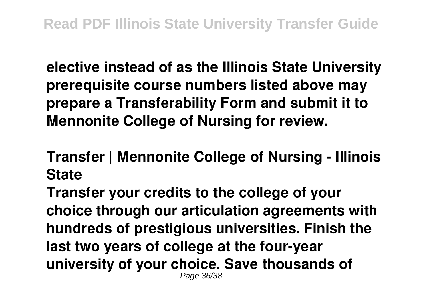**elective instead of as the Illinois State University prerequisite course numbers listed above may prepare a Transferability Form and submit it to Mennonite College of Nursing for review.**

**Transfer | Mennonite College of Nursing - Illinois State**

**Transfer your credits to the college of your choice through our articulation agreements with hundreds of prestigious universities. Finish the last two years of college at the four-year university of your choice. Save thousands of** Page 36/38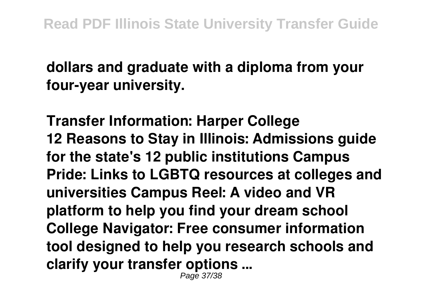**dollars and graduate with a diploma from your four-year university.**

**Transfer Information: Harper College 12 Reasons to Stay in Illinois: Admissions guide for the state's 12 public institutions Campus Pride: Links to LGBTQ resources at colleges and universities Campus Reel: A video and VR platform to help you find your dream school College Navigator: Free consumer information tool designed to help you research schools and clarify your transfer options ...** Page 37/38